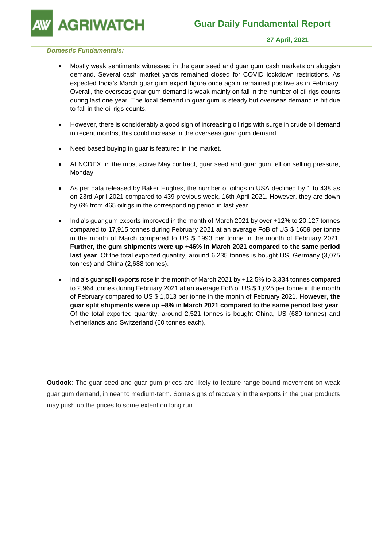**GRIWATCH** 

### *Domestic Fundamentals:*

- Mostly weak sentiments witnessed in the gaur seed and guar gum cash markets on sluggish demand. Several cash market yards remained closed for COVID lockdown restrictions. As expected India's March guar gum export figure once again remained positive as in February. Overall, the overseas guar gum demand is weak mainly on fall in the number of oil rigs counts during last one year. The local demand in guar gum is steady but overseas demand is hit due to fall in the oil rigs counts.
- However, there is considerably a good sign of increasing oil rigs with surge in crude oil demand in recent months, this could increase in the overseas guar gum demand.
- Need based buying in guar is featured in the market.
- At NCDEX, in the most active May contract, guar seed and guar gum fell on selling pressure, Monday.
- As per data released by Baker Hughes, the number of oilrigs in USA declined by 1 to 438 as on 23rd April 2021 compared to 439 previous week, 16th April 2021. However, they are down by 6% from 465 oilrigs in the corresponding period in last year.
- India's guar gum exports improved in the month of March 2021 by over +12% to 20,127 tonnes compared to 17,915 tonnes during February 2021 at an average FoB of US \$ 1659 per tonne in the month of March compared to US \$ 1993 per tonne in the month of February 2021. **Further, the gum shipments were up +46% in March 2021 compared to the same period last year**. Of the total exported quantity, around 6,235 tonnes is bought US, Germany (3,075 tonnes) and China (2,688 tonnes).
- India's guar split exports rose in the month of March 2021 by +12.5% to 3,334 tonnes compared to 2,964 tonnes during February 2021 at an average FoB of US \$ 1,025 per tonne in the month of February compared to US \$ 1,013 per tonne in the month of February 2021. **However, the guar split shipments were up +8% in March 2021 compared to the same period last year**. Of the total exported quantity, around 2,521 tonnes is bought China, US (680 tonnes) and Netherlands and Switzerland (60 tonnes each).

**Outlook**: The guar seed and guar gum prices are likely to feature range-bound movement on weak guar gum demand, in near to medium-term. Some signs of recovery in the exports in the guar products may push up the prices to some extent on long run.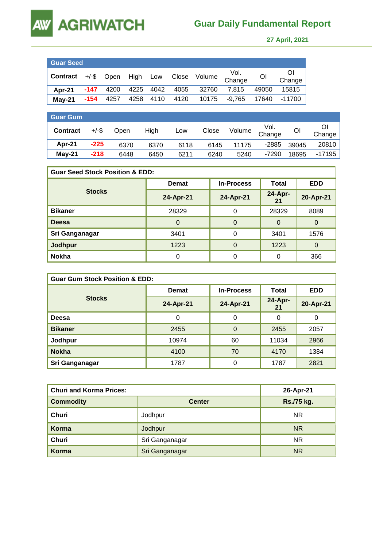# **AGRIWATCH**

## **Guar Daily Fundamental Report**

 **27 April, 2021** 

| <b>Guar Seed</b>                               |      |      |  |                |                                |          |                |              |
|------------------------------------------------|------|------|--|----------------|--------------------------------|----------|----------------|--------------|
| Contract +/-\$ Open High Low Close Volume Vol. |      |      |  |                |                                |          | O <sub>l</sub> | Οl<br>Change |
| Apr-21                                         |      |      |  |                | -147 4200 4225 4042 4055 32760 | 7,815    | 49050          | 15815        |
| $May-21$                                       | -154 | 4257 |  | 4258 4110 4120 | 10175                          | $-9,765$ | 17640          | $-11700$     |

| <b>Guar Gum</b> |          |             |      |      |       |        |                |       |        |
|-----------------|----------|-------------|------|------|-------|--------|----------------|-------|--------|
| <b>Contract</b> | $+/-$ \$ | <b>Open</b> | High | Low  | Close | Volume | Vol.<br>Change | OI    | Change |
| Apr-21          | $-225$   | 6370        | 6370 | 6118 | 6145  | 11175  | $-2885$        | 39045 | 20810  |
| $May-21$        | $-218$   | 6448        | 6450 | 6211 | 6240  | 5240   | $-7290$        | 18695 | -17195 |

| <b>Guar Seed Stock Position &amp; EDD:</b> |              |                   |               |            |  |  |  |
|--------------------------------------------|--------------|-------------------|---------------|------------|--|--|--|
|                                            | <b>Demat</b> | <b>In-Process</b> | Total         | <b>EDD</b> |  |  |  |
| <b>Stocks</b>                              | 24-Apr-21    | 24-Apr-21         | 24-Apr-<br>21 | 20-Apr-21  |  |  |  |
| <b>Bikaner</b>                             | 28329        | 0                 | 28329         | 8089       |  |  |  |
| <b>Deesa</b>                               | 0            | $\Omega$          | $\Omega$      | $\Omega$   |  |  |  |
| Sri Ganganagar                             | 3401         | 0                 | 3401          | 1576       |  |  |  |
| <b>Jodhpur</b>                             | 1223         | $\Omega$          | 1223          | $\Omega$   |  |  |  |
| <b>Nokha</b>                               |              | 0                 | 0             | 366        |  |  |  |

| <b>Guar Gum Stock Position &amp; EDD:</b> |              |                   |               |            |  |  |  |
|-------------------------------------------|--------------|-------------------|---------------|------------|--|--|--|
|                                           | <b>Demat</b> | <b>In-Process</b> | Total         | <b>EDD</b> |  |  |  |
| <b>Stocks</b>                             | 24-Apr-21    | 24-Apr-21         | 24-Apr-<br>21 | 20-Apr-21  |  |  |  |
| Deesa                                     | 0            | 0                 | 0             | 0          |  |  |  |
| <b>Bikaner</b>                            | 2455         | $\Omega$          | 2455          | 2057       |  |  |  |
| Jodhpur                                   | 10974        | 60                | 11034         | 2966       |  |  |  |
| <b>Nokha</b>                              | 4100         | 70                | 4170          | 1384       |  |  |  |
| Sri Ganganagar                            | 1787         | 0                 | 1787          | 2821       |  |  |  |

| <b>Churi and Korma Prices:</b> | 26-Apr-21      |            |
|--------------------------------|----------------|------------|
| <b>Commodity</b>               | <b>Center</b>  | Rs./75 kg. |
| Churi                          | Jodhpur        | NR.        |
| Korma                          | Jodhpur        | <b>NR</b>  |
| Churi                          | Sri Ganganagar | <b>NR</b>  |
| Korma                          | Sri Ganganagar | <b>NR</b>  |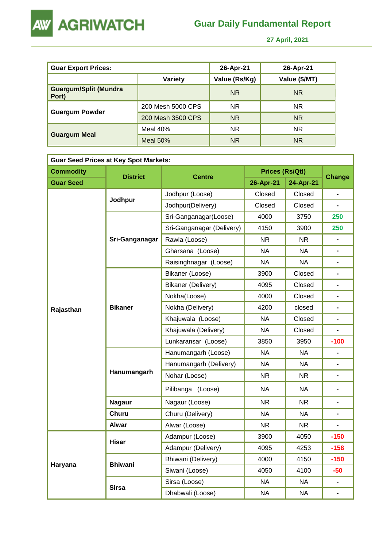



 **27 April, 2021** 

| <b>Guar Export Prices:</b>            |                   | 26-Apr-21     | 26-Apr-21     |
|---------------------------------------|-------------------|---------------|---------------|
|                                       | Variety           | Value (Rs/Kg) | Value (\$/MT) |
| <b>Guargum/Split (Mundra</b><br>Port) |                   | <b>NR</b>     | <b>NR</b>     |
|                                       | 200 Mesh 5000 CPS | <b>NR</b>     | <b>NR</b>     |
| <b>Guargum Powder</b>                 | 200 Mesh 3500 CPS | <b>NR</b>     | <b>NR</b>     |
|                                       | Meal 40%          | <b>NR</b>     | <b>NR</b>     |
| <b>Guargum Meal</b>                   | <b>Meal 50%</b>   | <b>NR</b>     | <b>NR</b>     |

| <b>Guar Seed Prices at Key Spot Markets:</b> |                 |                           |                        |           |                              |  |  |  |
|----------------------------------------------|-----------------|---------------------------|------------------------|-----------|------------------------------|--|--|--|
| <b>Commodity</b>                             | <b>District</b> | <b>Centre</b>             | <b>Prices (Rs/Qtl)</b> |           | <b>Change</b>                |  |  |  |
| <b>Guar Seed</b>                             |                 |                           | 26-Apr-21              | 24-Apr-21 |                              |  |  |  |
|                                              |                 | Jodhpur (Loose)           | Closed                 | Closed    | $\overline{\phantom{0}}$     |  |  |  |
|                                              | Jodhpur         | Jodhpur(Delivery)         | Closed                 | Closed    |                              |  |  |  |
|                                              |                 | Sri-Ganganagar(Loose)     | 4000                   | 3750      | 250                          |  |  |  |
|                                              |                 | Sri-Ganganagar (Delivery) | 4150                   | 3900      | 250                          |  |  |  |
|                                              | Sri-Ganganagar  | Rawla (Loose)             | NR.                    | NR.       | $\blacksquare$               |  |  |  |
|                                              |                 | Gharsana (Loose)          | <b>NA</b>              | NA        |                              |  |  |  |
|                                              |                 | Raisinghnagar (Loose)     | <b>NA</b>              | <b>NA</b> | $\blacksquare$               |  |  |  |
|                                              |                 | Bikaner (Loose)           | 3900                   | Closed    |                              |  |  |  |
|                                              |                 | Bikaner (Delivery)        | 4095                   | Closed    | $\blacksquare$               |  |  |  |
|                                              |                 | Nokha(Loose)              | 4000                   | Closed    | $\blacksquare$               |  |  |  |
| Rajasthan                                    | <b>Bikaner</b>  | Nokha (Delivery)          | 4200                   | closed    | $\blacksquare$               |  |  |  |
|                                              |                 | Khajuwala (Loose)         | <b>NA</b>              | Closed    | $\blacksquare$               |  |  |  |
|                                              |                 | Khajuwala (Delivery)      | NA                     | Closed    | $\blacksquare$               |  |  |  |
|                                              |                 | Lunkaransar (Loose)       | 3850                   | 3950      | $-100$                       |  |  |  |
|                                              |                 | Hanumangarh (Loose)       | <b>NA</b>              | <b>NA</b> | $\blacksquare$               |  |  |  |
|                                              |                 | Hanumangarh (Delivery)    | <b>NA</b>              | <b>NA</b> | $\blacksquare$               |  |  |  |
|                                              | Hanumangarh     | Nohar (Loose)             | NR.                    | NR.       | $\qquad \qquad \blacksquare$ |  |  |  |
|                                              |                 | Pilibanga (Loose)         | <b>NA</b>              | <b>NA</b> | $\qquad \qquad \blacksquare$ |  |  |  |
|                                              | <b>Nagaur</b>   | Nagaur (Loose)            | <b>NR</b>              | <b>NR</b> | $\blacksquare$               |  |  |  |
|                                              | <b>Churu</b>    | Churu (Delivery)          | <b>NA</b>              | <b>NA</b> | $\blacksquare$               |  |  |  |
|                                              | <b>Alwar</b>    | Alwar (Loose)             | <b>NR</b>              | NR.       |                              |  |  |  |
|                                              |                 | Adampur (Loose)           | 3900                   | 4050      | $-150$                       |  |  |  |
|                                              | <b>Hisar</b>    | Adampur (Delivery)        | 4095                   | 4253      | $-158$                       |  |  |  |
|                                              |                 | Bhiwani (Delivery)        | 4000                   | 4150      | $-150$                       |  |  |  |
| Haryana                                      | <b>Bhiwani</b>  | Siwani (Loose)            | 4050                   | 4100      | -50                          |  |  |  |
|                                              |                 | Sirsa (Loose)             | <b>NA</b>              | <b>NA</b> | $\blacksquare$               |  |  |  |
|                                              | <b>Sirsa</b>    | Dhabwali (Loose)          | <b>NA</b>              | <b>NA</b> |                              |  |  |  |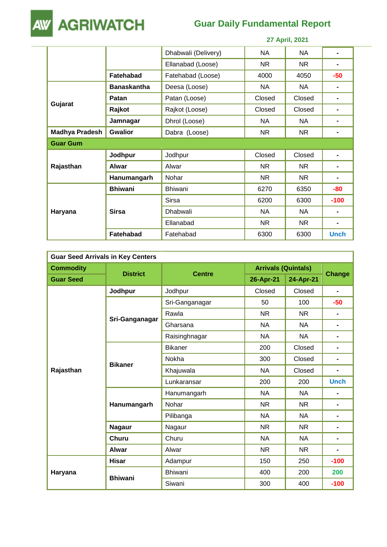

## **Guar Daily Fundamental Report**

|                       |                    | 27 April, 2021      |           |           |                |  |
|-----------------------|--------------------|---------------------|-----------|-----------|----------------|--|
|                       |                    | Dhabwali (Delivery) | <b>NA</b> | NA        | ۰              |  |
|                       |                    | Ellanabad (Loose)   | <b>NR</b> | <b>NR</b> | ۰              |  |
|                       | <b>Fatehabad</b>   | Fatehabad (Loose)   | 4000      | 4050      | $-50$          |  |
|                       | <b>Banaskantha</b> | Deesa (Loose)       | <b>NA</b> | NA.       | $\blacksquare$ |  |
| Gujarat               | <b>Patan</b>       | Patan (Loose)       | Closed    | Closed    |                |  |
|                       | Rajkot             | Rajkot (Loose)      | Closed    | Closed    |                |  |
|                       | Jamnagar           | Dhrol (Loose)       | NA        | NA.       |                |  |
| <b>Madhya Pradesh</b> | <b>Gwalior</b>     | Dabra (Loose)       | <b>NR</b> | <b>NR</b> | ۰              |  |
| <b>Guar Gum</b>       |                    |                     |           |           |                |  |
|                       | Jodhpur            | Jodhpur             | Closed    | Closed    |                |  |
| Rajasthan             | Alwar              | Alwar               | <b>NR</b> | <b>NR</b> |                |  |
|                       | Hanumangarh        | Nohar               | <b>NR</b> | NR.       | $\blacksquare$ |  |
|                       | <b>Bhiwani</b>     | <b>Bhiwani</b>      | 6270      | 6350      | -80            |  |
|                       |                    | Sirsa               | 6200      | 6300      | $-100$         |  |
| Haryana               | <b>Sirsa</b>       | Dhabwali            | NA        | NA        | ۰              |  |
|                       |                    | Ellanabad           | <b>NR</b> | NR.       |                |  |
|                       | <b>Fatehabad</b>   | Fatehabad           | 6300      | 6300      | <b>Unch</b>    |  |

| <b>Guar Seed Arrivals in Key Centers</b> |                 |                |                            |           |                |  |  |
|------------------------------------------|-----------------|----------------|----------------------------|-----------|----------------|--|--|
| <b>Commodity</b>                         | <b>District</b> |                | <b>Arrivals (Quintals)</b> |           |                |  |  |
| <b>Guar Seed</b>                         |                 | <b>Centre</b>  | 26-Apr-21                  | 24-Apr-21 | <b>Change</b>  |  |  |
|                                          | Jodhpur         | Jodhpur        | Closed                     | Closed    | $\blacksquare$ |  |  |
|                                          |                 | Sri-Ganganagar | 50                         | 100       | $-50$          |  |  |
|                                          |                 | Rawla          | <b>NR</b>                  | <b>NR</b> |                |  |  |
|                                          | Sri-Ganganagar  | Gharsana       | <b>NA</b>                  | <b>NA</b> | ۰              |  |  |
|                                          |                 | Raisinghnagar  | <b>NA</b>                  | <b>NA</b> | $\blacksquare$ |  |  |
|                                          | <b>Bikaner</b>  | <b>Bikaner</b> | 200                        | Closed    | $\blacksquare$ |  |  |
|                                          |                 | Nokha          | 300                        | Closed    | ۰              |  |  |
| Rajasthan                                |                 | Khajuwala      | <b>NA</b>                  | Closed    | $\blacksquare$ |  |  |
|                                          |                 | Lunkaransar    | 200                        | 200       | <b>Unch</b>    |  |  |
|                                          | Hanumangarh     | Hanumangarh    | <b>NA</b>                  | <b>NA</b> | ۰              |  |  |
|                                          |                 | Nohar          | <b>NR</b>                  | <b>NR</b> | ۰              |  |  |
|                                          |                 | Pilibanga      | <b>NA</b>                  | <b>NA</b> | ۰              |  |  |
|                                          | <b>Nagaur</b>   | Nagaur         | <b>NR</b>                  | <b>NR</b> | ۰              |  |  |
|                                          | <b>Churu</b>    | Churu          | <b>NA</b>                  | NA        | ۰              |  |  |
|                                          | <b>Alwar</b>    | Alwar          | <b>NR</b>                  | <b>NR</b> | $\blacksquare$ |  |  |
|                                          | <b>Hisar</b>    | Adampur        | 150                        | 250       | $-100$         |  |  |
| Haryana                                  |                 | <b>Bhiwani</b> | 400                        | 200       | 200            |  |  |
|                                          | <b>Bhiwani</b>  | Siwani         | 300                        | 400       | $-100$         |  |  |